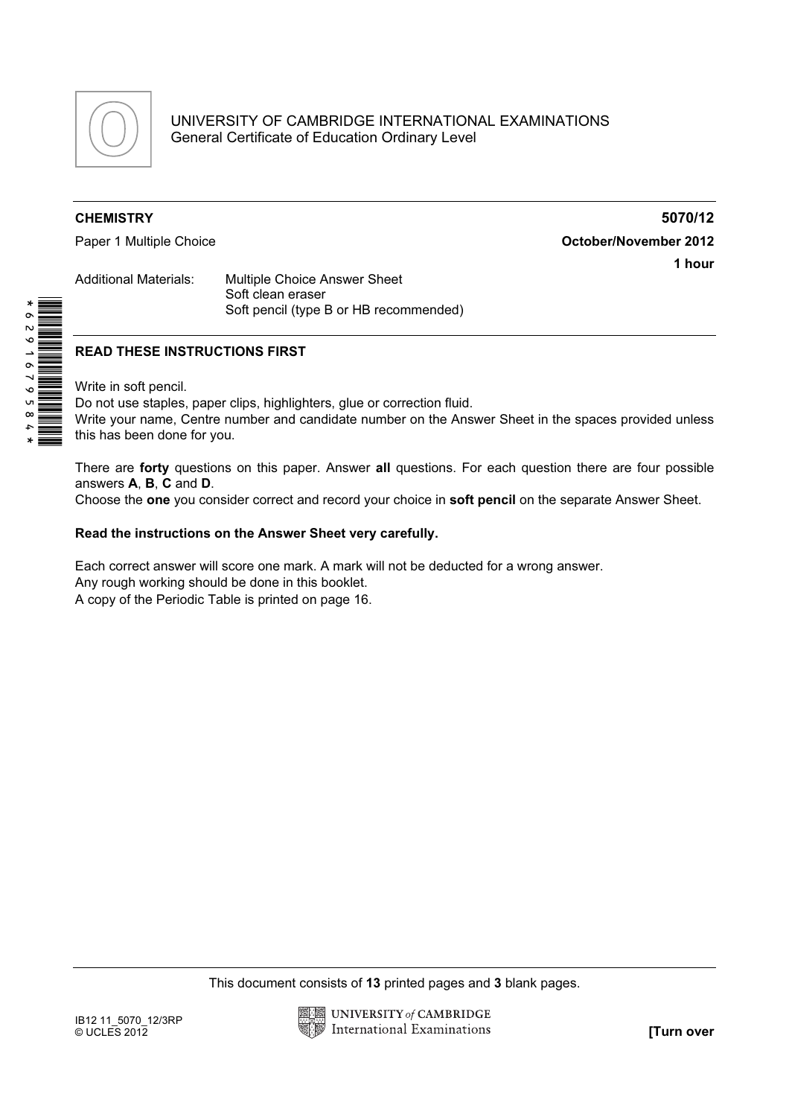

CHEMISTRY 5070/12 Paper 1 Multiple Choice **October/November 2012** 1 hour

Additional Materials: Multiple Choice Answer Sheet Soft clean eraser Soft pencil (type B or HB recommended)

# READ THESE INSTRUCTIONS FIRST

Write in soft pencil.

Do not use staples, paper clips, highlighters, glue or correction fluid.

Write your name, Centre number and candidate number on the Answer Sheet in the spaces provided unless this has been done for you.

There are forty questions on this paper. Answer all questions. For each question there are four possible answers A, B, C and D.

Choose the one you consider correct and record your choice in soft pencil on the separate Answer Sheet.

### Read the instructions on the Answer Sheet very carefully.

Each correct answer will score one mark. A mark will not be deducted for a wrong answer. Any rough working should be done in this booklet. A copy of the Periodic Table is printed on page 16.

This document consists of 13 printed pages and 3 blank pages.

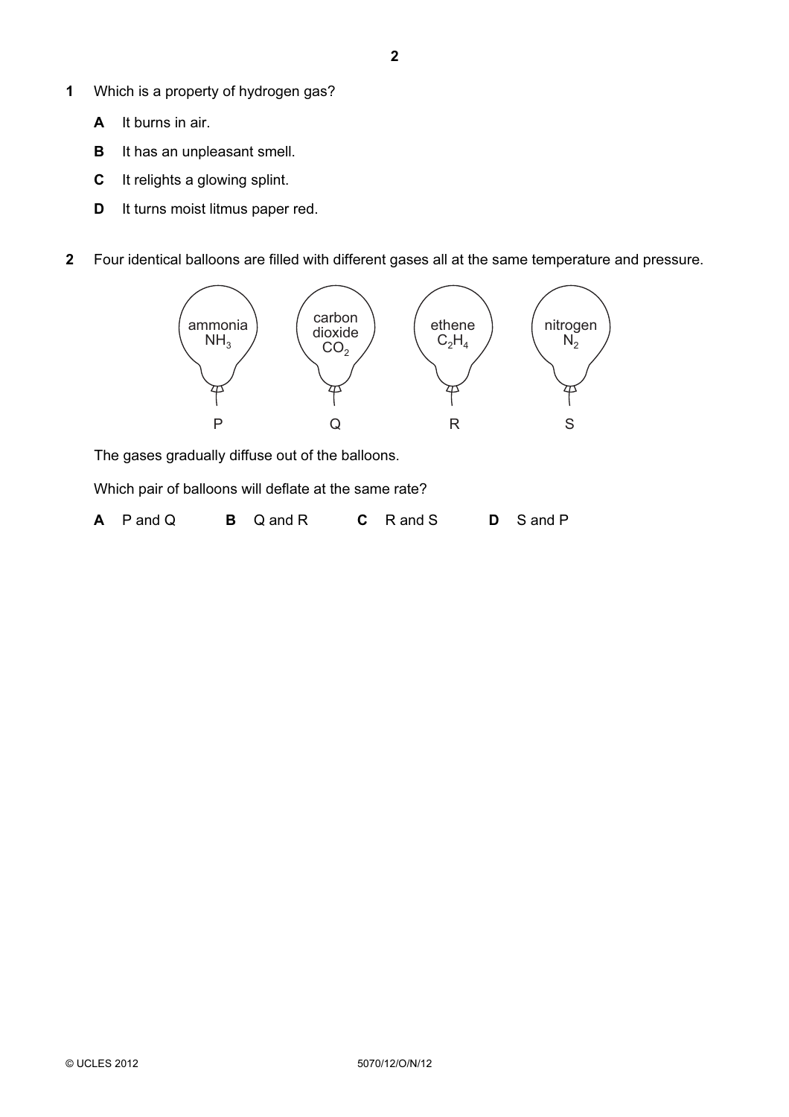- 1 Which is a property of hydrogen gas?
	- A It burns in air.
	- **B** It has an unpleasant smell.
	- C It relights a glowing splint.
	- D It turns moist litmus paper red.
- 2 Four identical balloons are filled with different gases all at the same temperature and pressure.



The gases gradually diffuse out of the balloons.

Which pair of balloons will deflate at the same rate?

A P and Q B Q and R C R and S D S and P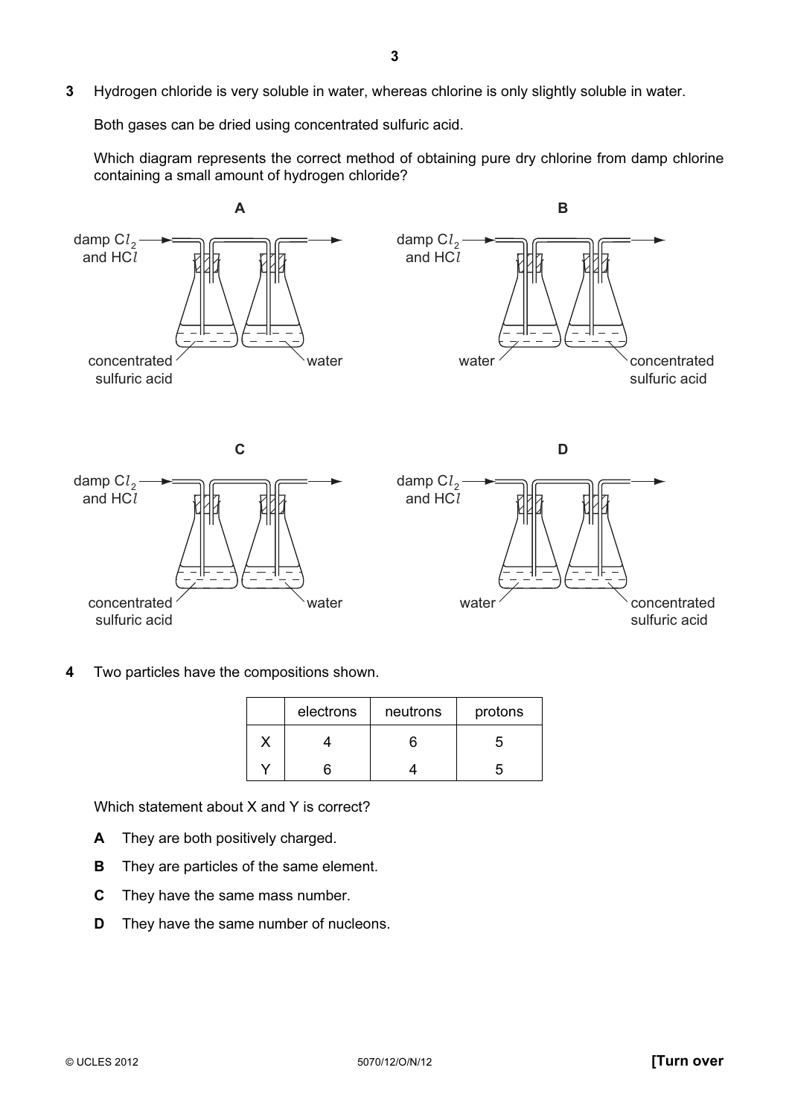Both gases can be dried using concentrated sulfuric acid.

Which diagram represents the correct method of obtaining pure dry chlorine from damp chlorine containing a small amount of hydrogen chloride?



4 Two particles have the compositions shown.

| electrons | neutrons | protons |
|-----------|----------|---------|
|           |          |         |
|           |          |         |

Which statement about X and Y is correct?

- A They are both positively charged.
- **B** They are particles of the same element.
- C They have the same mass number.
- **D** They have the same number of nucleons.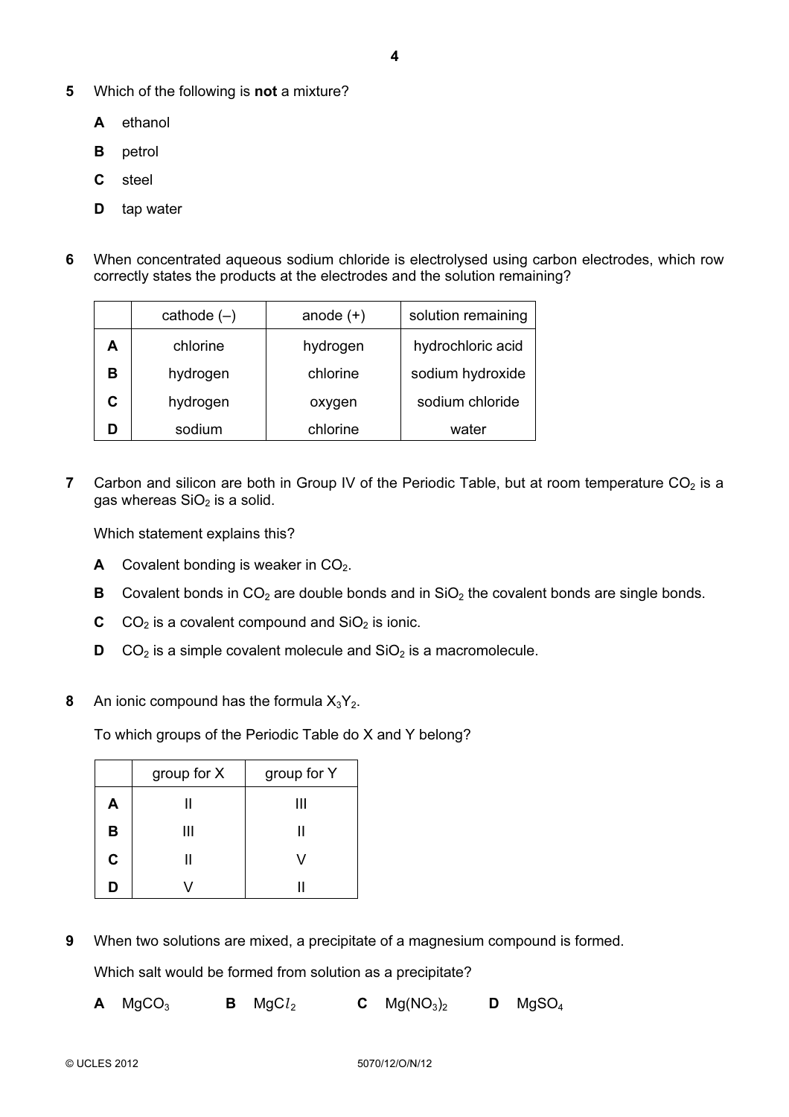- 5 Which of the following is not a mixture?
	- A ethanol
	- B petrol
	- C steel
	- D tap water
- 6 When concentrated aqueous sodium chloride is electrolysed using carbon electrodes, which row correctly states the products at the electrodes and the solution remaining?

|    | cathode $(-)$ | anode $(+)$ | solution remaining |
|----|---------------|-------------|--------------------|
| А  | chlorine      | hydrogen    | hydrochloric acid  |
| в  | hydrogen      | chlorine    | sodium hydroxide   |
| r. | hydrogen      | oxygen      | sodium chloride    |
|    | sodium        | chlorine    | water              |

7 Carbon and silicon are both in Group IV of the Periodic Table, but at room temperature  $CO<sub>2</sub>$  is a gas whereas  $SiO<sub>2</sub>$  is a solid.

Which statement explains this?

- **A** Covalent bonding is weaker in  $CO<sub>2</sub>$ .
- **B** Covalent bonds in  $CO<sub>2</sub>$  are double bonds and in  $SiO<sub>2</sub>$  the covalent bonds are single bonds.
- $C$   $CO<sub>2</sub>$  is a covalent compound and SiO<sub>2</sub> is ionic.
- $D$   $CO<sub>2</sub>$  is a simple covalent molecule and SiO<sub>2</sub> is a macromolecule.
- 8 An ionic compound has the formula  $X_3Y_2$ .

To which groups of the Periodic Table do X and Y belong?

|   | group for X | group for Y |
|---|-------------|-------------|
| A | Ш           | Ш           |
| В | Ш           | Ш           |
| C | Ш           | \ /         |
| D |             |             |

9 When two solutions are mixed, a precipitate of a magnesium compound is formed.

Which salt would be formed from solution as a precipitate?

**A** MgCO<sub>3</sub> **B** MgCl<sub>2</sub> **C** Mg(NO<sub>3</sub>)<sub>2</sub> **D** MgSO<sub>4</sub>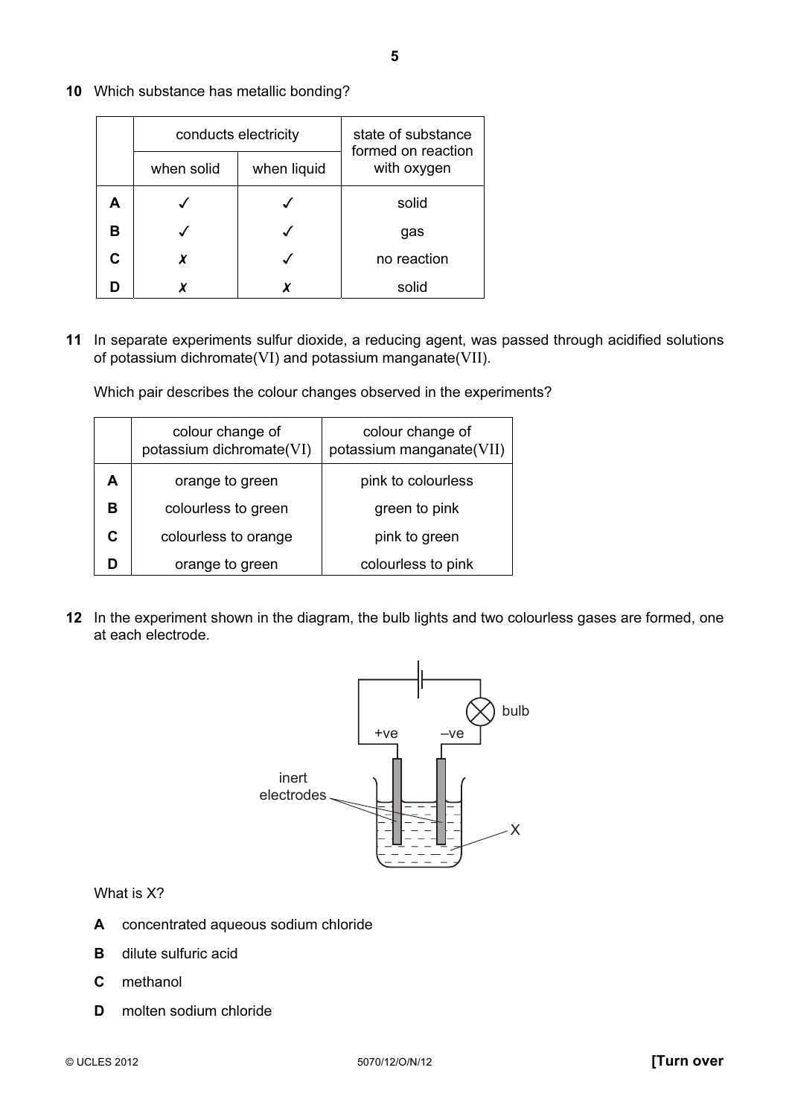10 Which substance has metallic bonding?

|    | conducts electricity |             | state of substance<br>formed on reaction |
|----|----------------------|-------------|------------------------------------------|
|    | when solid           | when liquid | with oxygen                              |
| А  |                      |             | solid                                    |
| в  |                      |             | gas                                      |
| C. | X                    |             | no reaction                              |
|    |                      |             | solid                                    |

11 In separate experiments sulfur dioxide, a reducing agent, was passed through acidified solutions of potassium dichromate(VI) and potassium manganate(VII).

Which pair describes the colour changes observed in the experiments?

|   | colour change of<br>potassium dichromate(VI) | colour change of<br>potassium manganate(VII) |
|---|----------------------------------------------|----------------------------------------------|
| А | orange to green                              | pink to colourless                           |
| в | colourless to green                          | green to pink                                |
|   | colourless to orange                         | pink to green                                |
|   | orange to green                              | colourless to pink                           |

12 In the experiment shown in the diagram, the bulb lights and two colourless gases are formed, one at each electrode.



What is X?

- A concentrated aqueous sodium chloride
- **B** dilute sulfuric acid
- C methanol
- D molten sodium chloride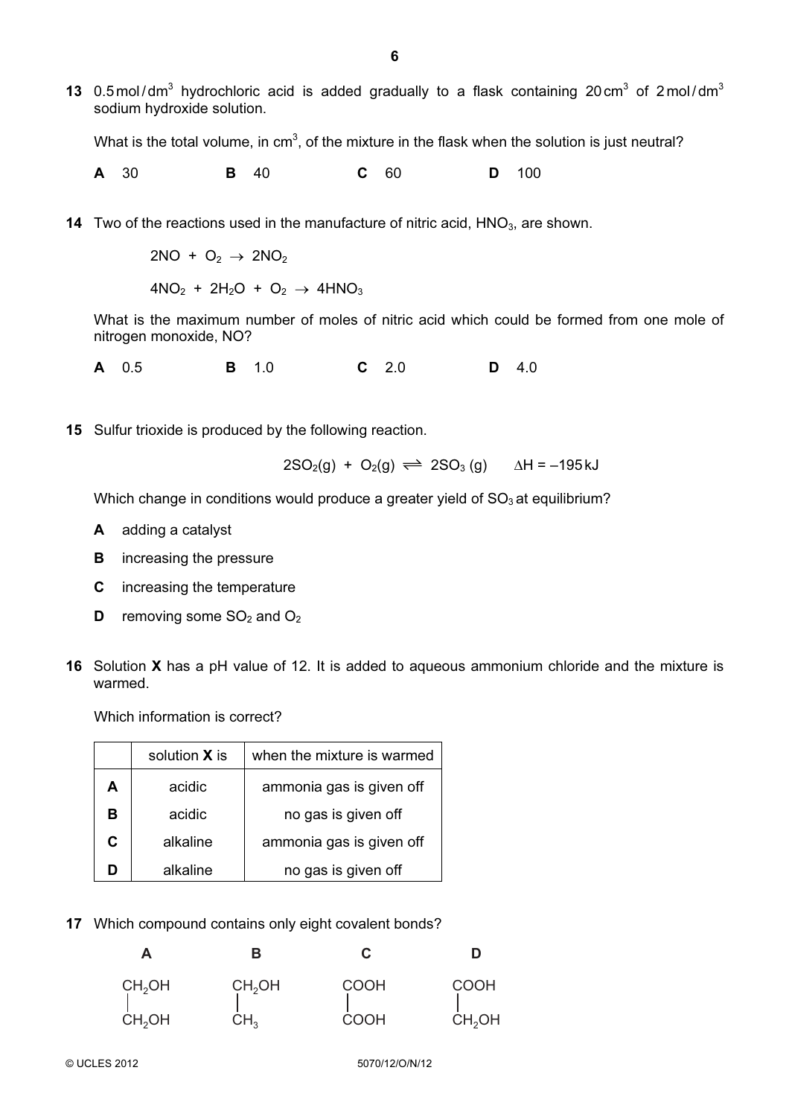13 0.5 mol/dm<sup>3</sup> hydrochloric acid is added gradually to a flask containing 20 cm<sup>3</sup> of 2 mol/dm<sup>3</sup> sodium hydroxide solution.

What is the total volume, in cm<sup>3</sup>, of the mixture in the flask when the solution is just neutral?

- **A** 30 **B** 40 **C** 60 **D** 100
- 14 Two of the reactions used in the manufacture of nitric acid,  $HNO<sub>3</sub>$ , are shown.

```
2NO + O<sub>2</sub> \rightarrow 2NO<sub>2</sub>
```
 $4NO_2 + 2H_2O + O_2 \rightarrow 4HNO_3$ 

What is the maximum number of moles of nitric acid which could be formed from one mole of nitrogen monoxide, NO?

A 0.5 B 1.0 C 2.0 D 4.0

15 Sulfur trioxide is produced by the following reaction.

 $2SO_2(g) + O_2(g) \rightleftharpoons 2SO_3(g)$   $\Delta H = -195kJ$ 

Which change in conditions would produce a greater yield of  $SO<sub>3</sub>$  at equilibrium?

- A adding a catalyst
- **B** increasing the pressure
- C increasing the temperature
- **D** removing some  $SO_2$  and  $O_2$
- 16 Solution X has a pH value of 12. It is added to aqueous ammonium chloride and the mixture is warmed.

Which information is correct?

|   | solution $X$ is | when the mixture is warmed |
|---|-----------------|----------------------------|
| A | acidic          | ammonia gas is given off   |
| в | acidic          | no gas is given off        |
| C | alkaline        | ammonia gas is given off   |
|   | alkaline        | no gas is given off        |

17 Which compound contains only eight covalent bonds?

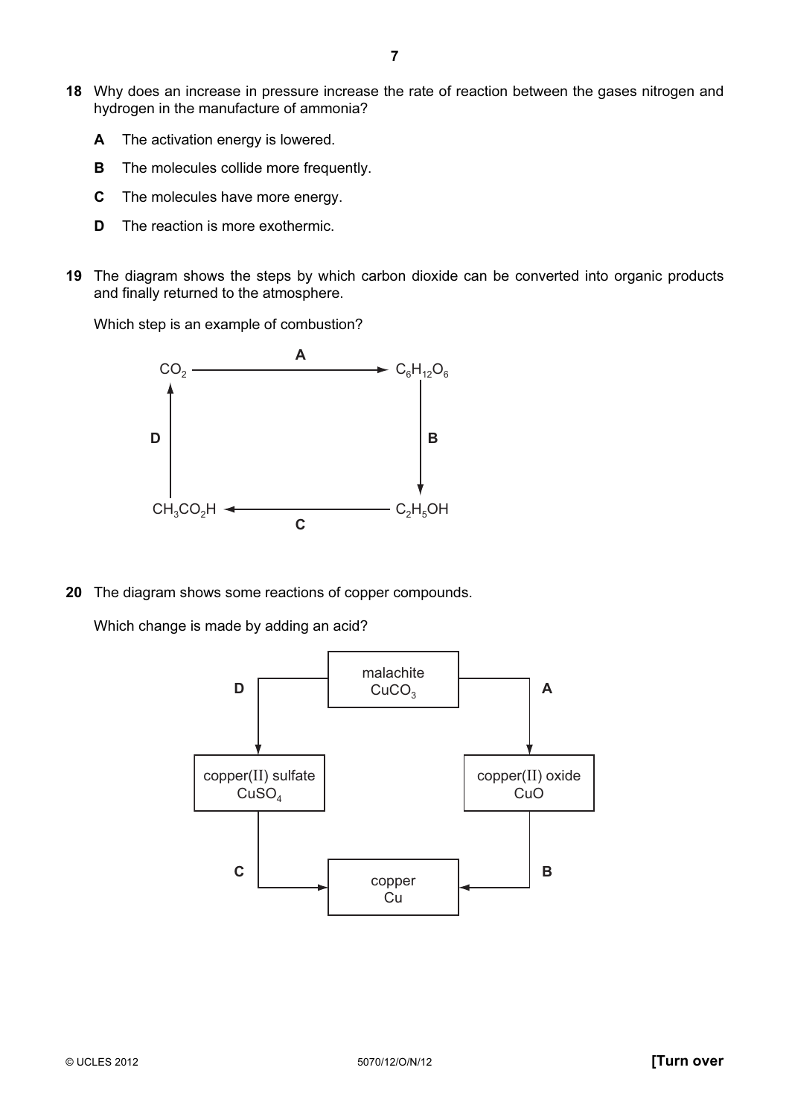- A The activation energy is lowered.
- **B** The molecules collide more frequently.
- **C** The molecules have more energy.
- **D** The reaction is more exothermic.
- 19 The diagram shows the steps by which carbon dioxide can be converted into organic products and finally returned to the atmosphere.

Which step is an example of combustion?



20 The diagram shows some reactions of copper compounds.

Which change is made by adding an acid?

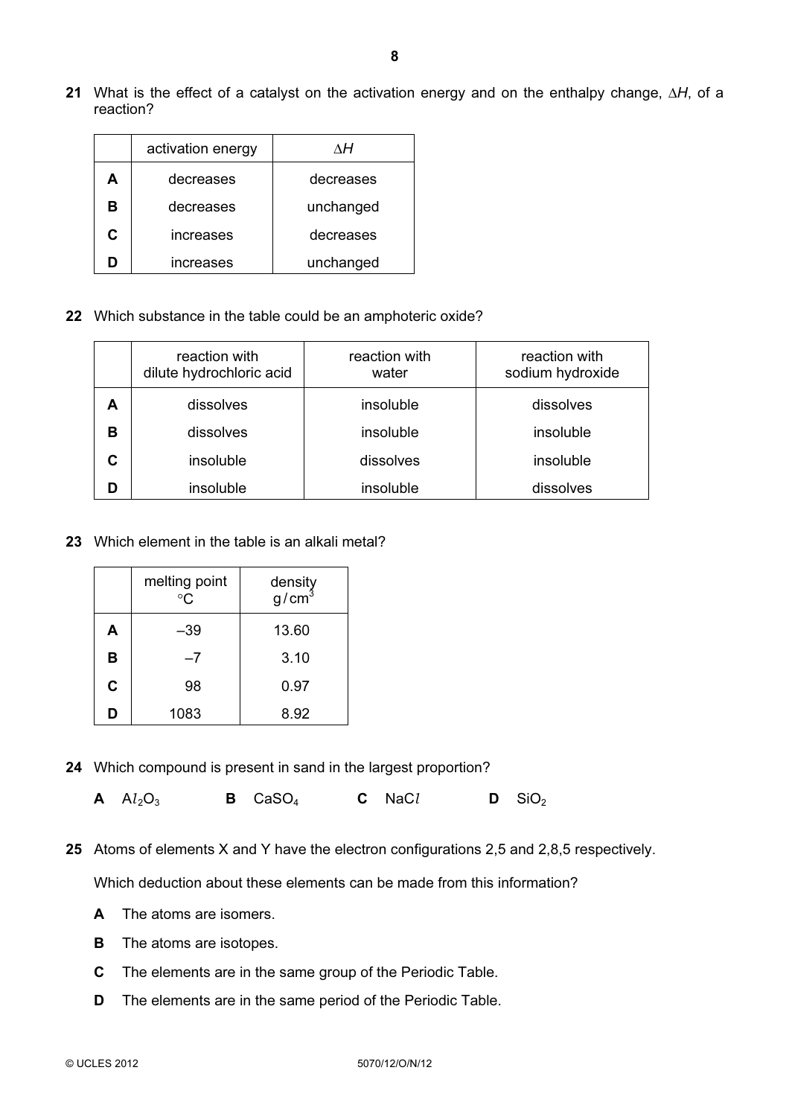21 What is the effect of a catalyst on the activation energy and on the enthalpy change, ∆H, of a reaction?

|    | activation energy | ٨H        |
|----|-------------------|-----------|
|    | decreases         | decreases |
| R  | decreases         | unchanged |
| r. | increases         | decreases |
|    | increases         | unchanged |

22 Which substance in the table could be an amphoteric oxide?

|   | reaction with<br>dilute hydrochloric acid | reaction with<br>water | reaction with<br>sodium hydroxide |
|---|-------------------------------------------|------------------------|-----------------------------------|
| А | dissolves                                 | insoluble              | dissolves                         |
| в | dissolves                                 | insoluble              | insoluble                         |
| C | insoluble                                 | dissolves              | insoluble                         |
| D | insoluble                                 | insoluble              | dissolves                         |

23 Which element in the table is an alkali metal?

|             | melting point<br>$^{\circ}$ C | density<br>$g/cm^3$ |
|-------------|-------------------------------|---------------------|
| A           | -39                           | 13.60               |
| B           | -7                            | 3.10                |
| $\mathbf c$ | 98                            | 0.97                |
| D           | 1083                          | 8.92                |

24 Which compound is present in sand in the largest proportion?

**A**  $Al_2O_3$  **B** CaSO<sub>4</sub> **C** NaCl **D** SiO<sub>2</sub>

25 Atoms of elements X and Y have the electron configurations 2,5 and 2,8,5 respectively.

Which deduction about these elements can be made from this information?

- A The atoms are isomers.
- **B** The atoms are isotopes.
- C The elements are in the same group of the Periodic Table.
- D The elements are in the same period of the Periodic Table.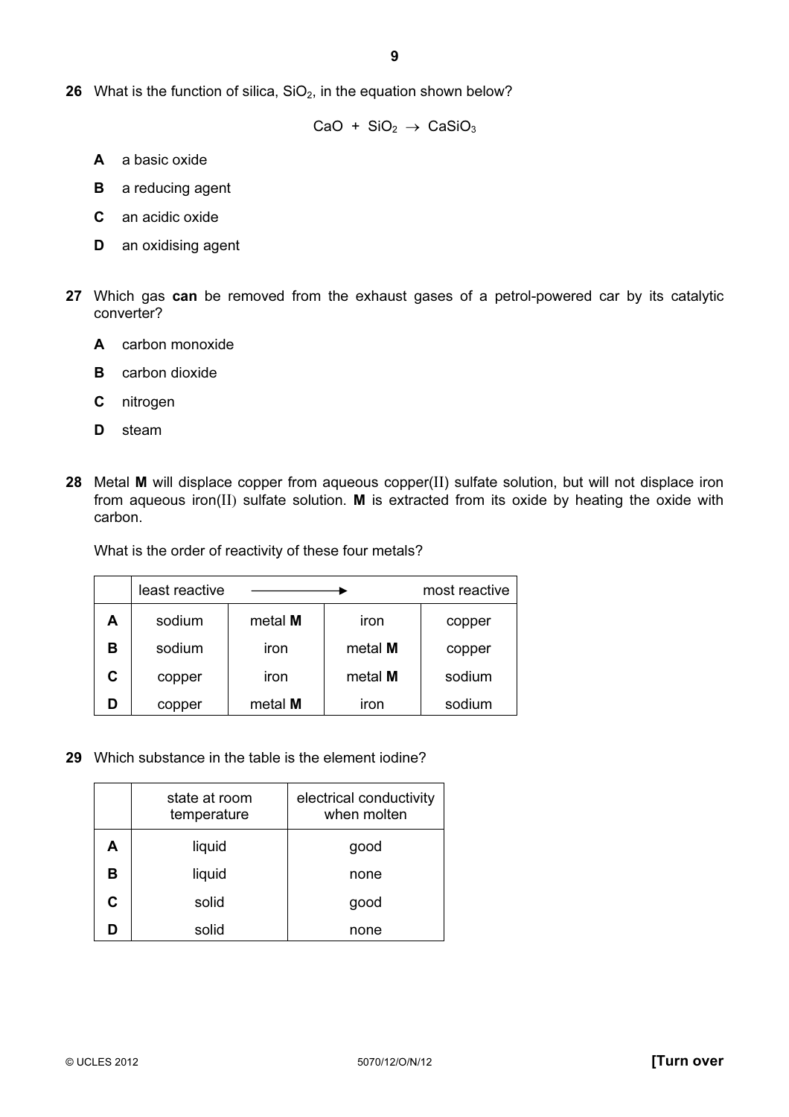26 What is the function of silica,  $SiO<sub>2</sub>$ , in the equation shown below?

 $CaO + SiO<sub>2</sub> \rightarrow CaSiO<sub>3</sub>$ 

- A a basic oxide
- **B** a reducing agent
- C an acidic oxide
- **D** an oxidising agent
- 27 Which gas can be removed from the exhaust gases of a petrol-powered car by its catalytic converter?
	- A carbon monoxide
	- **B** carbon dioxide
	- C nitrogen
	- D steam
- 28 Metal M will displace copper from aqueous copper(II) sulfate solution, but will not displace iron from aqueous iron(II*)* sulfate solution. M is extracted from its oxide by heating the oxide with carbon.

What is the order of reactivity of these four metals?

|   | least reactive |         |                | most reactive |
|---|----------------|---------|----------------|---------------|
| А | sodium         | metal M | iron           | copper        |
| в | sodium         | iron    | metal <b>M</b> | copper        |
|   | copper         | iron    | metal <b>M</b> | sodium        |
|   | copper         | metal M | iron           | sodium        |

29 Which substance in the table is the element iodine?

|   | state at room<br>temperature | electrical conductivity<br>when molten |
|---|------------------------------|----------------------------------------|
| A | liquid                       | good                                   |
| в | liquid                       | none                                   |
| C | solid                        | good                                   |
| n | solid                        | none                                   |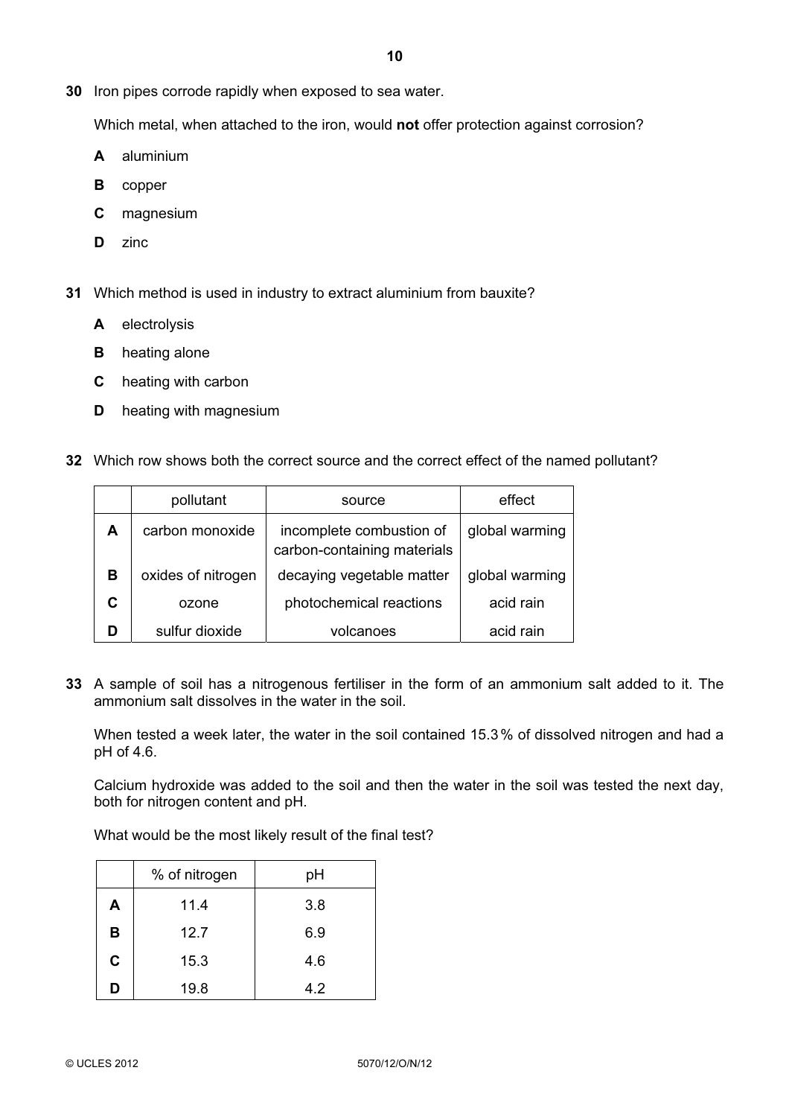30 Iron pipes corrode rapidly when exposed to sea water.

Which metal, when attached to the iron, would not offer protection against corrosion?

- A aluminium
- B copper
- C magnesium
- D zinc.
- 31 Which method is used in industry to extract aluminium from bauxite?
	- A electrolysis
	- **B** heating alone
	- C heating with carbon
	- **D** heating with magnesium
- 32 Which row shows both the correct source and the correct effect of the named pollutant?

|   | pollutant          | source                                                  | effect         |
|---|--------------------|---------------------------------------------------------|----------------|
| A | carbon monoxide    | incomplete combustion of<br>carbon-containing materials | global warming |
| в | oxides of nitrogen | decaying vegetable matter                               | global warming |
| C | ozone              | photochemical reactions                                 | acid rain      |
| D | sulfur dioxide     | volcanoes                                               | acid rain      |

33 A sample of soil has a nitrogenous fertiliser in the form of an ammonium salt added to it. The ammonium salt dissolves in the water in the soil.

When tested a week later, the water in the soil contained 15.3% of dissolved nitrogen and had a pH of 4.6.

Calcium hydroxide was added to the soil and then the water in the soil was tested the next day, both for nitrogen content and pH.

What would be the most likely result of the final test?

|   | % of nitrogen | рH  |  |  |  |
|---|---------------|-----|--|--|--|
| Α | 11.4          | 3.8 |  |  |  |
| в | 12.7          | 6.9 |  |  |  |
| C | 15.3          | 4.6 |  |  |  |
| D | 19.8          | 4.2 |  |  |  |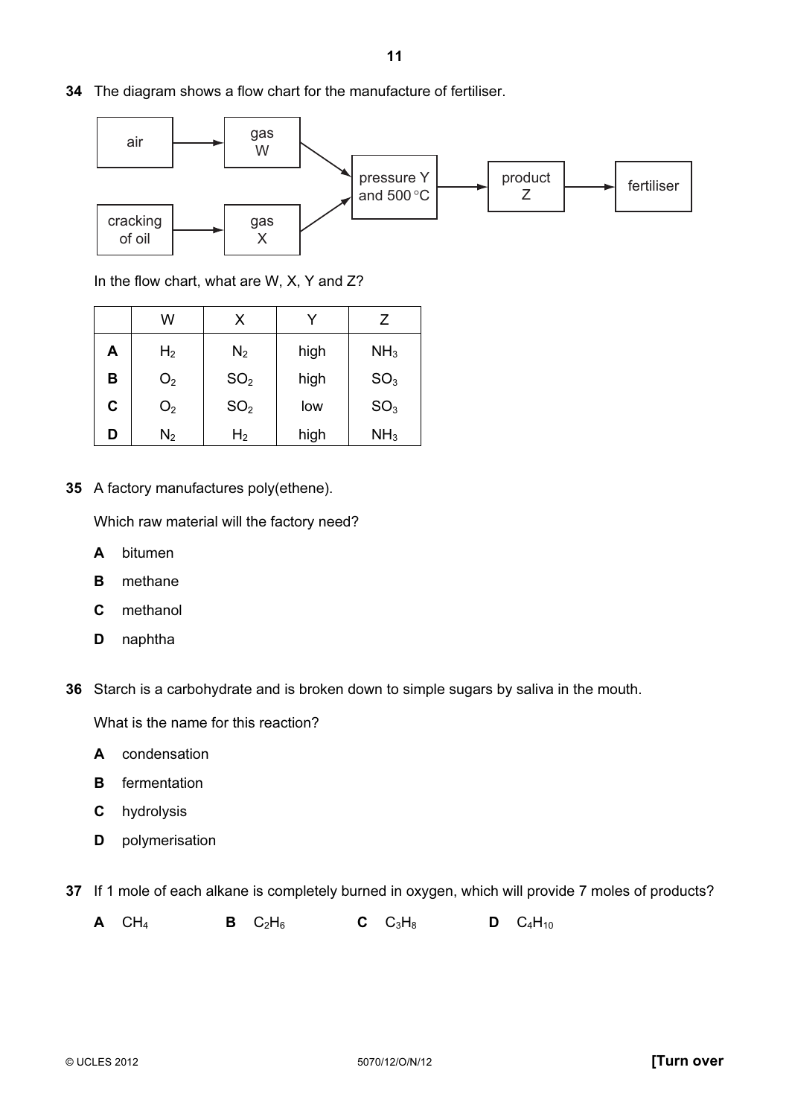- cracking of oil air gas X gas W pressure Y and 500 °C product  $\overline{z}$  fertiliser
- 34 The diagram shows a flow chart for the manufacture of fertiliser.

In the flow chart, what are W, X, Y and Z?

|   | W              | Х               |      | 7               |
|---|----------------|-----------------|------|-----------------|
| Α | H <sub>2</sub> | $N_2$           | high | NH <sub>3</sub> |
| B | $\mathsf{O}_2$ | SO <sub>2</sub> | high | SO <sub>3</sub> |
| C | $\mathsf{O}_2$ | SO <sub>2</sub> | low  | SO <sub>3</sub> |
| D | $N_2$          | H <sub>2</sub>  | high | NH <sub>3</sub> |

35 A factory manufactures poly(ethene).

Which raw material will the factory need?

- A bitumen
- B methane
- C methanol
- D naphtha
- 36 Starch is a carbohydrate and is broken down to simple sugars by saliva in the mouth.

What is the name for this reaction?

- A condensation
- B fermentation
- C hydrolysis
- D polymerisation
- 37 If 1 mole of each alkane is completely burned in oxygen, which will provide 7 moles of products?
	- **A** CH<sub>4</sub> **B** C<sub>2</sub>H<sub>6</sub> **C** C<sub>3</sub>H<sub>8</sub> **D** C<sub>4</sub>H<sub>10</sub>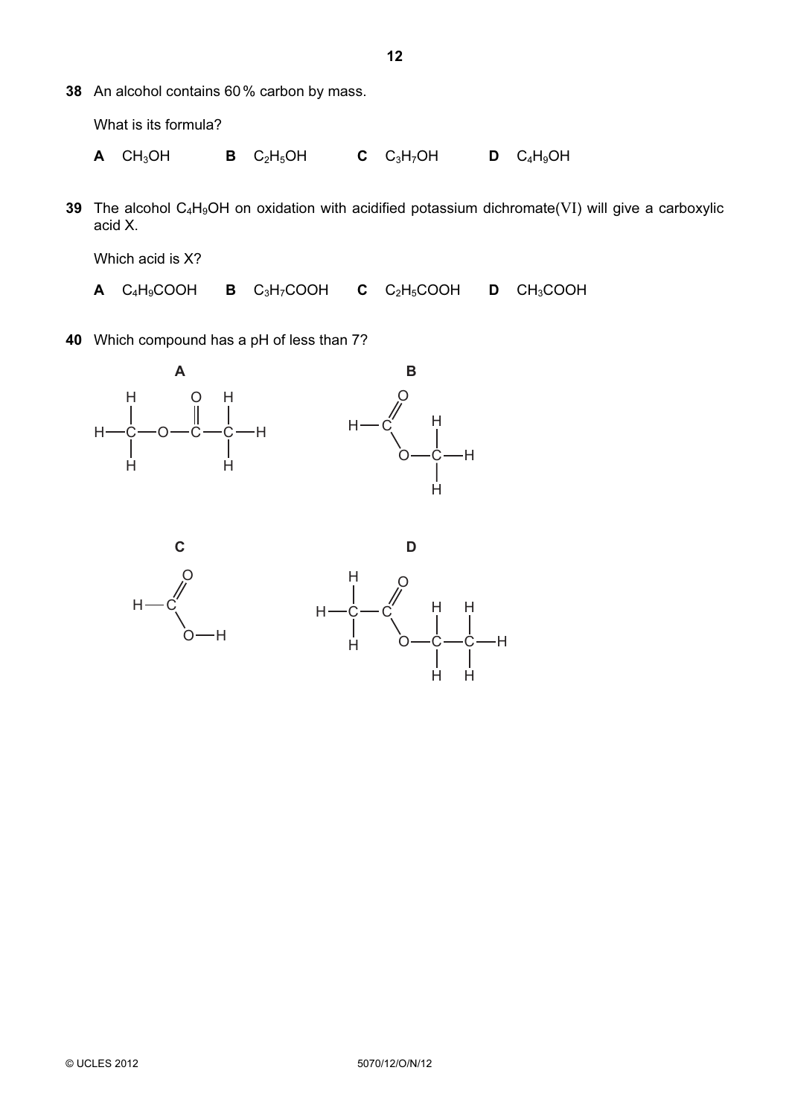38 An alcohol contains 60% carbon by mass.

What is its formula?

- **A** CH<sub>3</sub>OH **B** C<sub>2</sub>H<sub>5</sub>OH **C** C<sub>3</sub>H<sub>7</sub>OH **D** C<sub>4</sub>H<sub>9</sub>OH
- 39 The alcohol  $C_4H_9OH$  on oxidation with acidified potassium dichromate(VI) will give a carboxylic acid X.

Which acid is X?  
\n**A** 
$$
C_4H_9COOH
$$
 **B**  $C_3H_7COOH$  **C**  $C_2H_5COOH$  **D**  $CH_3COOH$ 

40 Which compound has a pH of less than 7?



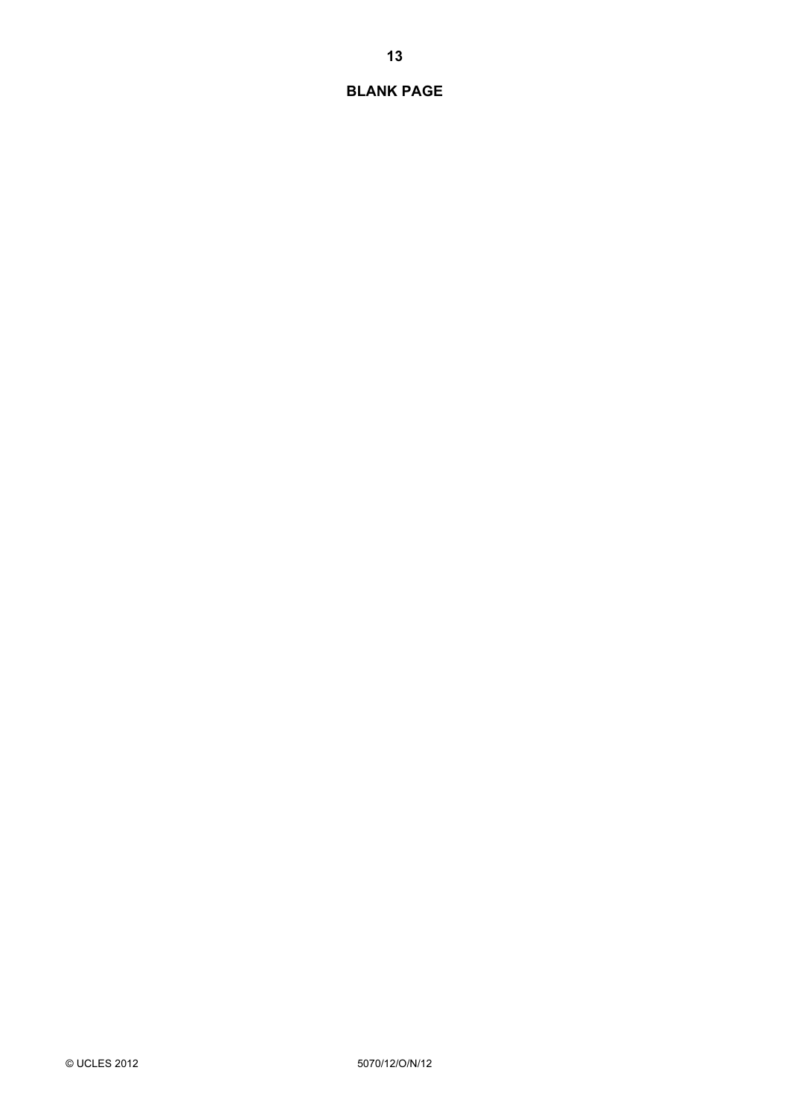# BLANK PAGE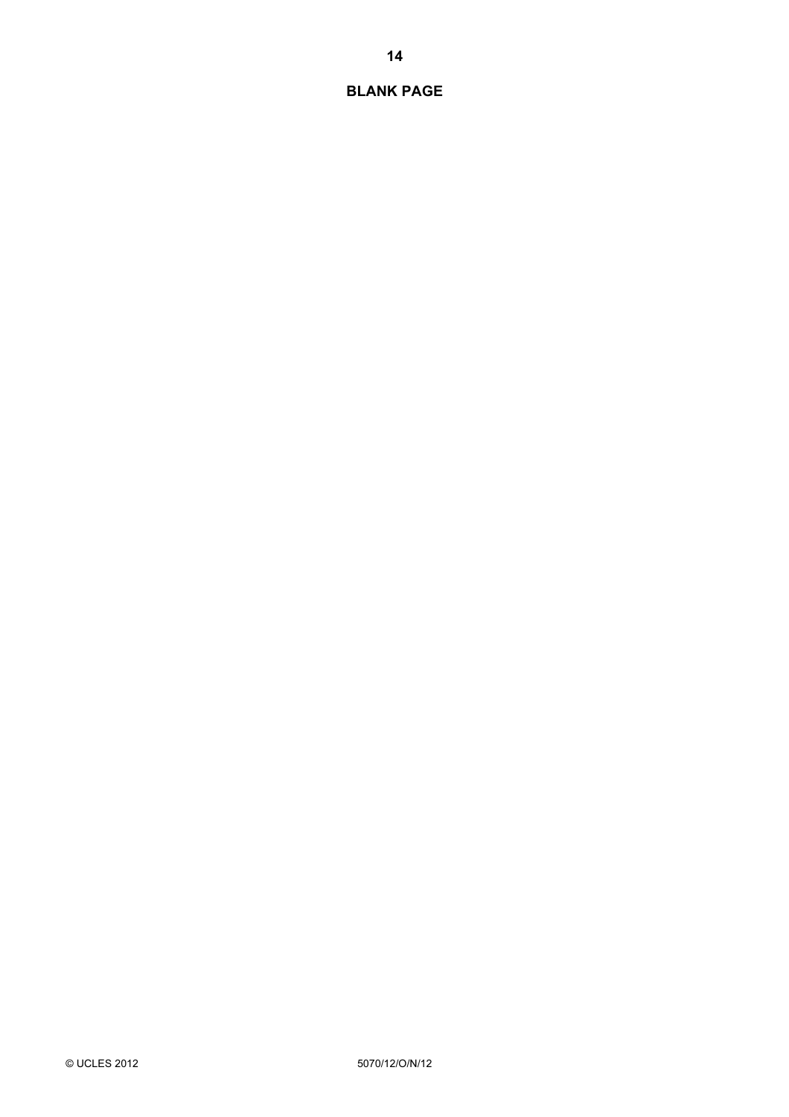# BLANK PAGE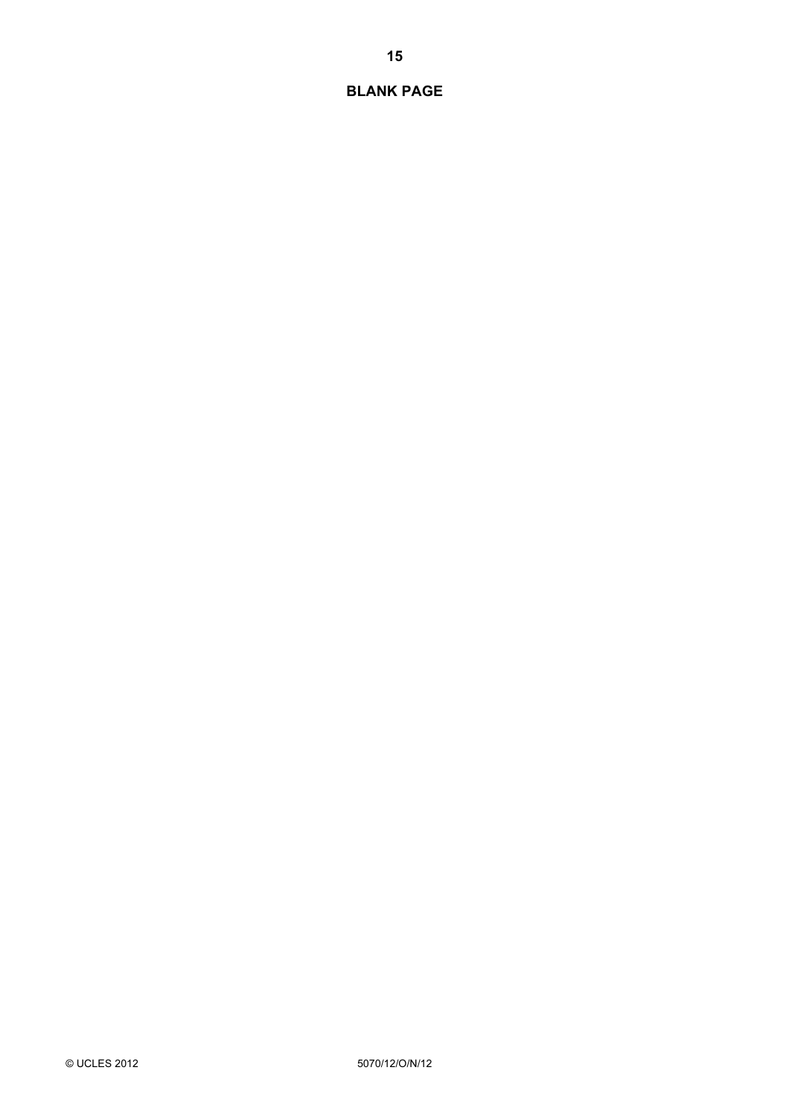# BLANK PAGE